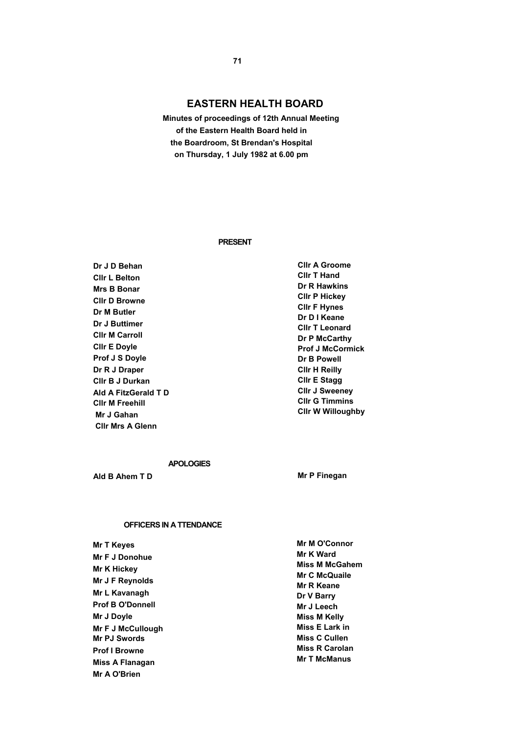# **EASTERN HEALTH BOARD**

 **Minutes of proceedings of 12th Annual Meeting of the Eastern Health Board held in the Boardroom, St Brendan's Hospital on Thursday, 1 July 1982 at 6.00 pm** 

#### **PRESENT**

**Dr J D Behan Cllr L Belton Mrs B Bonar Cllr D Browne Dr M Butler Dr J Buttimer Cllr M Carroll Cllr E Doyle Prof J S Doyle Dr R J Draper Cllr B J Durkan Ald A FitzGerald T D Cllr M Freehill Mr J Gahan Cllr Mrs A Glenn** 

**Cllr A Groome Cllr T Hand Dr R Hawkins Cllr P Hickey Cllr F Hynes Dr D I Keane Cllr T Leonard Dr P McCarthy Prof J McCormick Dr B Powell Cllr H Reilly Cllr E Stagg Cllr J Sweeney Cllr G Timmins Cllr W Willoughby** 

## **APOLOGIES**

**Ald B Ahem T D** Mr P Finegan

### **OFFICERS IN A TTENDANCE**

| <b>Mr T Keyes</b>       |  |
|-------------------------|--|
| <b>Mr F J Donohue</b>   |  |
| Mr K Hickey             |  |
| Mr J F Reynolds         |  |
| Mr L Kavanagh           |  |
| <b>Prof B O'Donnell</b> |  |
| Mr J Doyle              |  |
| Mr F J McCullough       |  |
| <b>Mr PJ Swords</b>     |  |
| <b>Prof I Browne</b>    |  |
| Miss A Flanagan         |  |
| Mr A O'Brien            |  |

**Mr M O'Connor Mr K Ward Miss M McGahem Mr C McQuaile Mr R Keane Dr V Barry Mr J Leech Miss M Kelly Miss E Lark in Miss C Cullen Miss R Carolan Mr T McManus**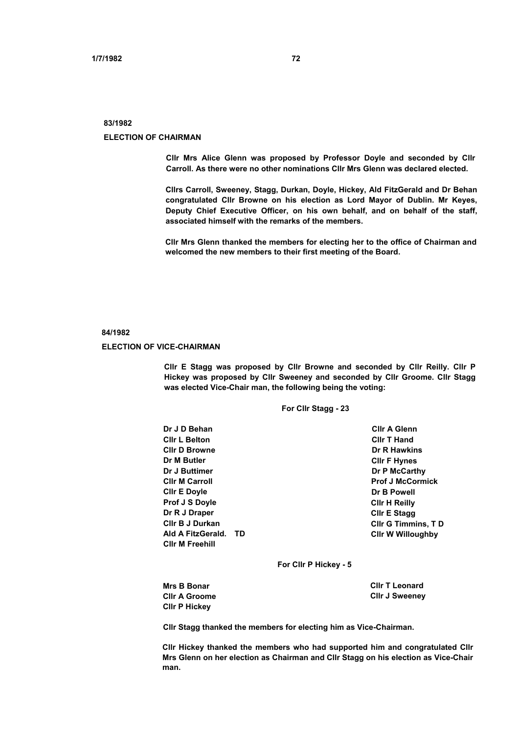### **83/1982**

#### **ELECTION OF CHAIRMAN**

**Cllr Mrs Alice Glenn was proposed by Professor Doyle and seconded by Cllr Carroll. As there were no other nominations Cllr Mrs Glenn was declared elected.** 

**Cllrs Carroll, Sweeney, Stagg, Durkan, Doyle, Hickey, Ald FitzGerald and Dr Behan congratulated Cllr Browne on his election as Lord Mayor of Dublin. Mr Keyes, Deputy Chief Executive Officer, on his own behalf, and on behalf of the staff, associated himself with the remarks of the members.** 

**Cllr Mrs Glenn thanked the members for electing her to the office of Chairman and welcomed the new members to their first meeting of the Board.** 

#### **84/1982**

#### **ELECTION OF VICE-CHAIRMAN**

**Cllr E Stagg was proposed by Cllr Browne and seconded by Cllr Reilly. Cllr P Hickey was proposed by Cllr Sweeney and seconded by Cllr Groome. Cllr Stagg was elected Vice-Chair man, the following being the voting:** 

**For Cllr Stagg - 23** 

| Dr J D Behan           |    | <b>CIIr A Glenn</b>        |
|------------------------|----|----------------------------|
| <b>CIIr L Belton</b>   |    | <b>CIIr T Hand</b>         |
| <b>CIIr D Browne</b>   |    | Dr R Hawkins               |
| Dr M Butler            |    | <b>CIIr F Hynes</b>        |
| Dr J Buttimer          |    | Dr P McCarthy              |
| <b>CIIr M Carroll</b>  |    | <b>Prof J McCormick</b>    |
| <b>CIIr E Doyle</b>    |    | Dr B Powell                |
| Prof J S Doyle         |    | <b>CIIr H Reilly</b>       |
| Dr R J Draper          |    | <b>CIIr E Stagg</b>        |
| <b>CIIr B J Durkan</b> |    | <b>CIIr G Timmins, T D</b> |
| Ald A FitzGerald.      | TD | <b>CIIr W Willoughby</b>   |
| <b>CIIr M Freehill</b> |    |                            |
|                        |    |                            |

**For Cllr P Hickey - 5** 

| <b>Mrs B Bonar</b>   | <b>CIIr T Leonard</b> |
|----------------------|-----------------------|
| <b>CIIr A Groome</b> | <b>CIIr J Sweeney</b> |
| <b>CIIr P Hickey</b> |                       |

**Cllr Stagg thanked the members for electing him as Vice-Chairman.** 

**Cllr Hickey thanked the members who had supported him and congratulated Cllr Mrs Glenn on her election as Chairman and Cllr Stagg on his election as Vice-Chair man.**